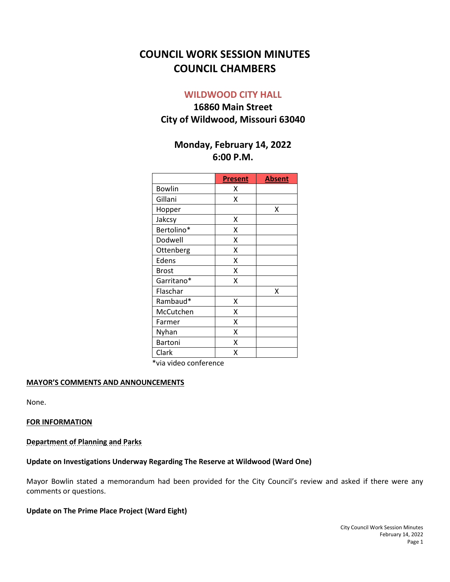# **COUNCIL WORK SESSION MINUTES COUNCIL CHAMBERS**

## **WILDWOOD CITY HALL**

## **16860 Main Street City of Wildwood, Missouri 63040**

## **Monday, February 14, 2022 6:00 P.M.**

|                | <b>Present</b> | <b>Absent</b> |
|----------------|----------------|---------------|
| <b>Bowlin</b>  | x              |               |
| Gillani        | x              |               |
| Hopper         |                | x             |
| Jakcsy         | Χ              |               |
| Bertolino*     | Χ              |               |
| Dodwell        | X              |               |
| Ottenberg      | X              |               |
| Edens          | X              |               |
| <b>Brost</b>   | X              |               |
| Garritano*     | Χ              |               |
| Flaschar       |                | X             |
| Rambaud*       | Χ              |               |
| McCutchen      | x              |               |
| Farmer         | X              |               |
| Nyhan          | X              |               |
| <b>Bartoni</b> | x              |               |
| Clark          | Χ              |               |

\*via video conference

#### **MAYOR'S COMMENTS AND ANNOUNCEMENTS**

None.

#### **FOR INFORMATION**

#### **Department of Planning and Parks**

#### **Update on Investigations Underway Regarding The Reserve at Wildwood (Ward One)**

Mayor Bowlin stated a memorandum had been provided for the City Council's review and asked if there were any comments or questions.

## **Update on The Prime Place Project (Ward Eight)**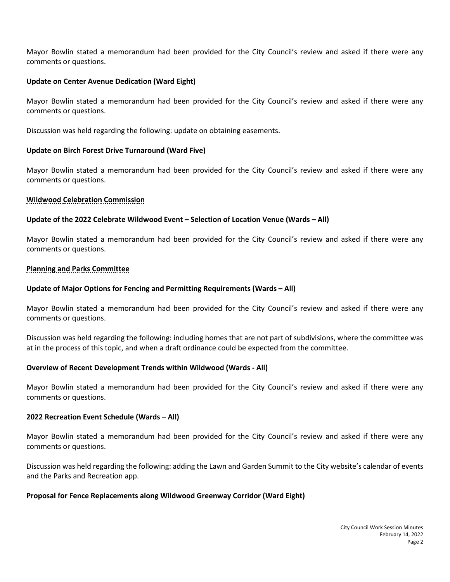Mayor Bowlin stated a memorandum had been provided for the City Council's review and asked if there were any comments or questions.

#### **Update on Center Avenue Dedication (Ward Eight)**

Mayor Bowlin stated a memorandum had been provided for the City Council's review and asked if there were any comments or questions.

Discussion was held regarding the following: update on obtaining easements.

## **Update on Birch Forest Drive Turnaround (Ward Five)**

Mayor Bowlin stated a memorandum had been provided for the City Council's review and asked if there were any comments or questions.

## **Wildwood Celebration Commission**

## **Update of the 2022 Celebrate Wildwood Event – Selection of Location Venue (Wards – All)**

Mayor Bowlin stated a memorandum had been provided for the City Council's review and asked if there were any comments or questions.

#### **Planning and Parks Committee**

## **Update of Major Options for Fencing and Permitting Requirements (Wards – All)**

Mayor Bowlin stated a memorandum had been provided for the City Council's review and asked if there were any comments or questions.

Discussion was held regarding the following: including homes that are not part of subdivisions, where the committee was at in the process of this topic, and when a draft ordinance could be expected from the committee.

#### **Overview of Recent Development Trends within Wildwood (Wards - All)**

Mayor Bowlin stated a memorandum had been provided for the City Council's review and asked if there were any comments or questions.

#### **2022 Recreation Event Schedule (Wards – All)**

Mayor Bowlin stated a memorandum had been provided for the City Council's review and asked if there were any comments or questions.

Discussion was held regarding the following: adding the Lawn and Garden Summit to the City website's calendar of events and the Parks and Recreation app.

#### **Proposal for Fence Replacements along Wildwood Greenway Corridor (Ward Eight)**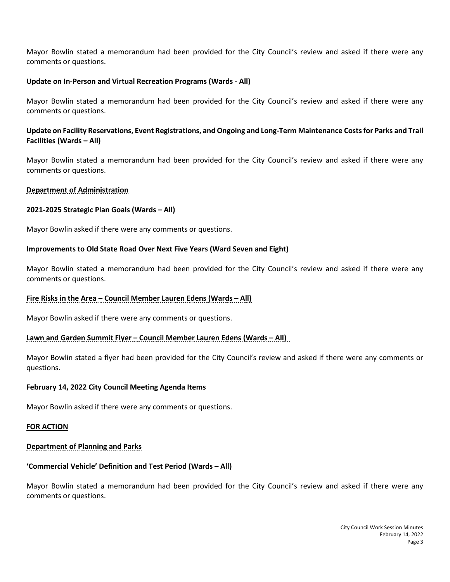Mayor Bowlin stated a memorandum had been provided for the City Council's review and asked if there were any comments or questions.

### **Update on In-Person and Virtual Recreation Programs (Wards - All)**

Mayor Bowlin stated a memorandum had been provided for the City Council's review and asked if there were any comments or questions.

## **Update on Facility Reservations, Event Registrations, and Ongoing and Long-Term Maintenance Costs for Parks and Trail Facilities (Wards – All)**

Mayor Bowlin stated a memorandum had been provided for the City Council's review and asked if there were any comments or questions.

## **Department of Administration**

#### **2021-2025 Strategic Plan Goals (Wards – All)**

Mayor Bowlin asked if there were any comments or questions.

## **Improvements to Old State Road Over Next Five Years (Ward Seven and Eight)**

Mayor Bowlin stated a memorandum had been provided for the City Council's review and asked if there were any comments or questions.

#### **Fire Risks in the Area – Council Member Lauren Edens (Wards – All)**

Mayor Bowlin asked if there were any comments or questions.

#### **Lawn and Garden Summit Flyer – Council Member Lauren Edens (Wards – All)**

Mayor Bowlin stated a flyer had been provided for the City Council's review and asked if there were any comments or questions.

#### **February 14, 2022 City Council Meeting Agenda Items**

Mayor Bowlin asked if there were any comments or questions.

#### **FOR ACTION**

## **Department of Planning and Parks**

#### **'Commercial Vehicle' Definition and Test Period (Wards – All)**

Mayor Bowlin stated a memorandum had been provided for the City Council's review and asked if there were any comments or questions.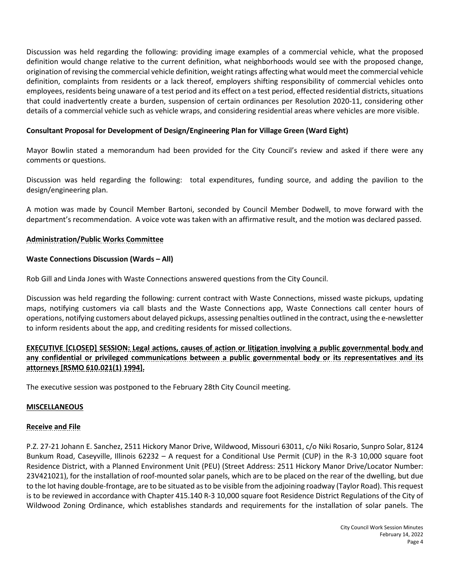Discussion was held regarding the following: providing image examples of a commercial vehicle, what the proposed definition would change relative to the current definition, what neighborhoods would see with the proposed change, origination of revising the commercial vehicle definition, weight ratings affecting what would meet the commercial vehicle definition, complaints from residents or a lack thereof, employers shifting responsibility of commercial vehicles onto employees, residents being unaware of a test period and its effect on a test period, effected residential districts, situations that could inadvertently create a burden, suspension of certain ordinances per Resolution 2020-11, considering other details of a commercial vehicle such as vehicle wraps, and considering residential areas where vehicles are more visible.

## **Consultant Proposal for Development of Design/Engineering Plan for Village Green (Ward Eight)**

Mayor Bowlin stated a memorandum had been provided for the City Council's review and asked if there were any comments or questions.

Discussion was held regarding the following: total expenditures, funding source, and adding the pavilion to the design/engineering plan.

A motion was made by Council Member Bartoni, seconded by Council Member Dodwell, to move forward with the department's recommendation. A voice vote was taken with an affirmative result, and the motion was declared passed.

## **Administration/Public Works Committee**

## **Waste Connections Discussion (Wards – All)**

Rob Gill and Linda Jones with Waste Connections answered questions from the City Council.

Discussion was held regarding the following: current contract with Waste Connections, missed waste pickups, updating maps, notifying customers via call blasts and the Waste Connections app, Waste Connections call center hours of operations, notifying customers about delayed pickups, assessing penalties outlined in the contract, using the e-newsletter to inform residents about the app, and crediting residents for missed collections.

**EXECUTIVE [CLOSED] SESSION: Legal actions, causes of action or litigation involving a public governmental body and any confidential or privileged communications between a public governmental body or its representatives and its attorneys [RSMO 610.021(1) 1994].**

The executive session was postponed to the February 28th City Council meeting.

#### **MISCELLANEOUS**

## **Receive and File**

P.Z. 27-21 Johann E. Sanchez, 2511 Hickory Manor Drive, Wildwood, Missouri 63011, c/o Niki Rosario, Sunpro Solar, 8124 Bunkum Road, Caseyville, Illinois 62232 – A request for a Conditional Use Permit (CUP) in the R-3 10,000 square foot Residence District, with a Planned Environment Unit (PEU) (Street Address: 2511 Hickory Manor Drive/Locator Number: 23V421021), for the installation of roof-mounted solar panels, which are to be placed on the rear of the dwelling, but due to the lot having double-frontage, are to be situated as to be visible from the adjoining roadway (Taylor Road). This request is to be reviewed in accordance with Chapter 415.140 R-3 10,000 square foot Residence District Regulations of the City of Wildwood Zoning Ordinance, which establishes standards and requirements for the installation of solar panels. The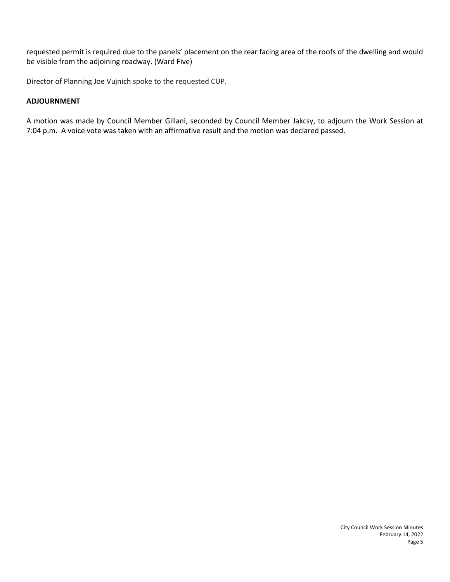requested permit is required due to the panels' placement on the rear facing area of the roofs of the dwelling and would be visible from the adjoining roadway. (Ward Five)

Director of Planning Joe Vujnich spoke to the requested CUP.

## **ADJOURNMENT**

A motion was made by Council Member Gillani, seconded by Council Member Jakcsy, to adjourn the Work Session at 7:04 p.m. A voice vote was taken with an affirmative result and the motion was declared passed.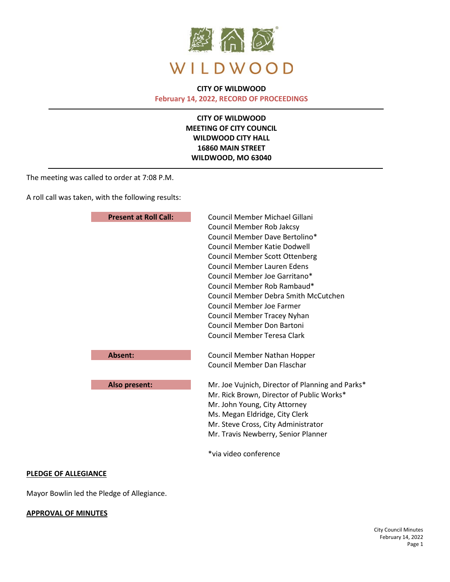

## **CITY OF WILDWOOD February 14, 2022, RECORD OF PROCEEDINGS**

**CITY OF WILDWOOD MEETING OF CITY COUNCIL WILDWOOD CITY HALL 16860 MAIN STREET WILDWOOD, MO 63040**

The meeting was called to order at 7:08 P.M.

A roll call was taken, with the following results:

| <b>Present at Roll Call:</b> | Council Member Michael Gillani                   |
|------------------------------|--------------------------------------------------|
|                              | Council Member Rob Jakcsy                        |
|                              | Council Member Dave Bertolino*                   |
|                              | Council Member Katie Dodwell                     |
|                              | <b>Council Member Scott Ottenberg</b>            |
|                              | <b>Council Member Lauren Edens</b>               |
|                              | Council Member Joe Garritano*                    |
|                              | Council Member Rob Rambaud*                      |
|                              | Council Member Debra Smith McCutchen             |
|                              | Council Member Joe Farmer                        |
|                              | Council Member Tracey Nyhan                      |
|                              | <b>Council Member Don Bartoni</b>                |
|                              | Council Member Teresa Clark                      |
| Absent:                      | Council Member Nathan Hopper                     |
|                              | Council Member Dan Flaschar                      |
| Also present:                | Mr. Joe Vujnich, Director of Planning and Parks* |
|                              | Mr. Rick Brown, Director of Public Works*        |
|                              | Mr. John Young, City Attorney                    |
|                              | Ms. Megan Eldridge, City Clerk                   |
|                              | Mr. Steve Cross, City Administrator              |
|                              | Mr. Travis Newberry, Senior Planner              |
|                              | *via video conference                            |

#### **PLEDGE OF ALLEGIANCE**

Mayor Bowlin led the Pledge of Allegiance.

#### **APPROVAL OF MINUTES**

City Council Minutes February 14, 2022 Page 1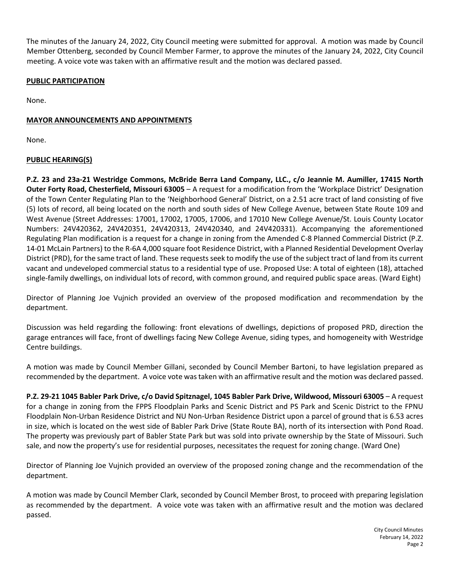The minutes of the January 24, 2022, City Council meeting were submitted for approval. A motion was made by Council Member Ottenberg, seconded by Council Member Farmer, to approve the minutes of the January 24, 2022, City Council meeting. A voice vote was taken with an affirmative result and the motion was declared passed.

## **PUBLIC PARTICIPATION**

None.

## **MAYOR ANNOUNCEMENTS AND APPOINTMENTS**

None.

## **PUBLIC HEARING(S)**

**P.Z. 23 and 23a-21 Westridge Commons, McBride Berra Land Company, LLC., c/o Jeannie M. Aumiller, 17415 North Outer Forty Road, Chesterfield, Missouri 63005** – A request for a modification from the 'Workplace District' Designation of the Town Center Regulating Plan to the 'Neighborhood General' District, on a 2.51 acre tract of land consisting of five (5) lots of record, all being located on the north and south sides of New College Avenue, between State Route 109 and West Avenue (Street Addresses: 17001, 17002, 17005, 17006, and 17010 New College Avenue/St. Louis County Locator Numbers: 24V420362, 24V420351, 24V420313, 24V420340, and 24V420331). Accompanying the aforementioned Regulating Plan modification is a request for a change in zoning from the Amended C-8 Planned Commercial District (P.Z. 14-01 McLain Partners) to the R-6A 4,000 square foot Residence District, with a Planned Residential Development Overlay District (PRD), for the same tract of land. These requests seek to modify the use of the subject tract of land from its current vacant and undeveloped commercial status to a residential type of use. Proposed Use: A total of eighteen (18), attached single-family dwellings, on individual lots of record, with common ground, and required public space areas. (Ward Eight)

Director of Planning Joe Vujnich provided an overview of the proposed modification and recommendation by the department.

Discussion was held regarding the following: front elevations of dwellings, depictions of proposed PRD, direction the garage entrances will face, front of dwellings facing New College Avenue, siding types, and homogeneity with Westridge Centre buildings.

A motion was made by Council Member Gillani, seconded by Council Member Bartoni, to have legislation prepared as recommended by the department. A voice vote was taken with an affirmative result and the motion was declared passed.

**P.Z. 29-21 1045 Babler Park Drive, c/o David Spitznagel, 1045 Babler Park Drive, Wildwood, Missouri 63005** – A request for a change in zoning from the FPPS Floodplain Parks and Scenic District and PS Park and Scenic District to the FPNU Floodplain Non-Urban Residence District and NU Non-Urban Residence District upon a parcel of ground that is 6.53 acres in size, which is located on the west side of Babler Park Drive (State Route BA), north of its intersection with Pond Road. The property was previously part of Babler State Park but was sold into private ownership by the State of Missouri. Such sale, and now the property's use for residential purposes, necessitates the request for zoning change. (Ward One)

Director of Planning Joe Vujnich provided an overview of the proposed zoning change and the recommendation of the department.

A motion was made by Council Member Clark, seconded by Council Member Brost, to proceed with preparing legislation as recommended by the department. A voice vote was taken with an affirmative result and the motion was declared passed.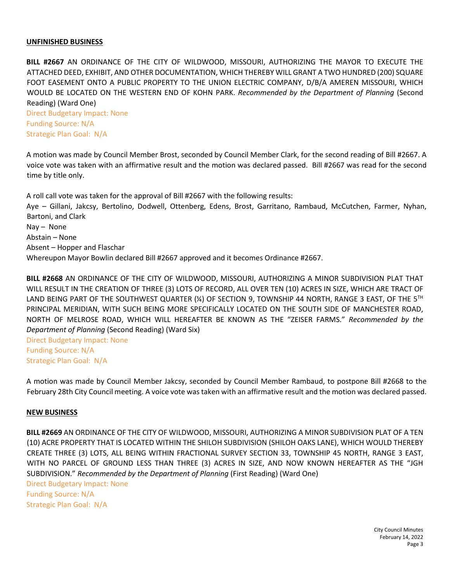#### **UNFINISHED BUSINESS**

**BILL #2667** AN ORDINANCE OF THE CITY OF WILDWOOD, MISSOURI, AUTHORIZING THE MAYOR TO EXECUTE THE ATTACHED DEED, EXHIBIT, AND OTHER DOCUMENTATION, WHICH THEREBY WILL GRANT A TWO HUNDRED (200) SQUARE FOOT EASEMENT ONTO A PUBLIC PROPERTY TO THE UNION ELECTRIC COMPANY, D/B/A AMEREN MISSOURI, WHICH WOULD BE LOCATED ON THE WESTERN END OF KOHN PARK. *Recommended by the Department of Planning* (Second Reading) (Ward One)

Direct Budgetary Impact: None Funding Source: N/A Strategic Plan Goal: N/A

A motion was made by Council Member Brost, seconded by Council Member Clark, for the second reading of Bill #2667. A voice vote was taken with an affirmative result and the motion was declared passed. Bill #2667 was read for the second time by title only.

A roll call vote was taken for the approval of Bill #2667 with the following results: Aye – Gillani, Jakcsy, Bertolino, Dodwell, Ottenberg, Edens, Brost, Garritano, Rambaud, McCutchen, Farmer, Nyhan, Bartoni, and Clark Nay – None Abstain – None Absent – Hopper and Flaschar Whereupon Mayor Bowlin declared Bill #2667 approved and it becomes Ordinance #2667.

**BILL #2668** AN ORDINANCE OF THE CITY OF WILDWOOD, MISSOURI, AUTHORIZING A MINOR SUBDIVISION PLAT THAT WILL RESULT IN THE CREATION OF THREE (3) LOTS OF RECORD, ALL OVER TEN (10) ACRES IN SIZE, WHICH ARE TRACT OF LAND BEING PART OF THE SOUTHWEST QUARTER (¼) OF SECTION 9, TOWNSHIP 44 NORTH, RANGE 3 EAST, OF THE 5<sup>TH</sup> PRINCIPAL MERIDIAN, WITH SUCH BEING MORE SPECIFICALLY LOCATED ON THE SOUTH SIDE OF MANCHESTER ROAD, NORTH OF MELROSE ROAD, WHICH WILL HEREAFTER BE KNOWN AS THE "ZEISER FARMS." *Recommended by the Department of Planning* (Second Reading) (Ward Six)

Direct Budgetary Impact: None Funding Source: N/A Strategic Plan Goal: N/A

A motion was made by Council Member Jakcsy, seconded by Council Member Rambaud, to postpone Bill #2668 to the February 28th City Council meeting. A voice vote was taken with an affirmative result and the motion was declared passed.

#### **NEW BUSINESS**

**BILL #2669** AN ORDINANCE OF THE CITY OF WILDWOOD, MISSOURI, AUTHORIZING A MINOR SUBDIVISION PLAT OF A TEN (10) ACRE PROPERTY THAT IS LOCATED WITHIN THE SHILOH SUBDIVISION (SHILOH OAKS LANE), WHICH WOULD THEREBY CREATE THREE (3) LOTS, ALL BEING WITHIN FRACTIONAL SURVEY SECTION 33, TOWNSHIP 45 NORTH, RANGE 3 EAST, WITH NO PARCEL OF GROUND LESS THAN THREE (3) ACRES IN SIZE, AND NOW KNOWN HEREAFTER AS THE "JGH SUBDIVISION." *Recommended by the Department of Planning* (First Reading) (Ward One)

Direct Budgetary Impact: None Funding Source: N/A Strategic Plan Goal: N/A

> City Council Minutes February 14, 2022 Page 3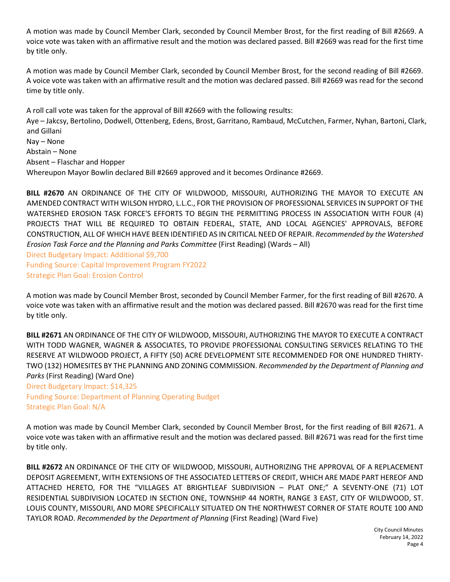A motion was made by Council Member Clark, seconded by Council Member Brost, for the first reading of Bill #2669. A voice vote was taken with an affirmative result and the motion was declared passed. Bill #2669 was read for the first time by title only.

A motion was made by Council Member Clark, seconded by Council Member Brost, for the second reading of Bill #2669. A voice vote was taken with an affirmative result and the motion was declared passed. Bill #2669 was read for the second time by title only.

A roll call vote was taken for the approval of Bill #2669 with the following results: Aye – Jakcsy, Bertolino, Dodwell, Ottenberg, Edens, Brost, Garritano, Rambaud, McCutchen, Farmer, Nyhan, Bartoni, Clark, and Gillani Nay – None Abstain – None Absent – Flaschar and Hopper Whereupon Mayor Bowlin declared Bill #2669 approved and it becomes Ordinance #2669.

**BILL #2670** AN ORDINANCE OF THE CITY OF WILDWOOD, MISSOURI, AUTHORIZING THE MAYOR TO EXECUTE AN AMENDED CONTRACT WITH WILSON HYDRO, L.L.C., FOR THE PROVISION OF PROFESSIONAL SERVICES IN SUPPORT OF THE WATERSHED EROSION TASK FORCE'S EFFORTS TO BEGIN THE PERMITTING PROCESS IN ASSOCIATION WITH FOUR (4) PROJECTS THAT WILL BE REQUIRED TO OBTAIN FEDERAL, STATE, AND LOCAL AGENCIES' APPROVALS, BEFORE CONSTRUCTION, ALL OF WHICH HAVE BEEN IDENTIFIED AS IN CRITICAL NEED OF REPAIR. *Recommended by the Watershed Erosion Task Force and the Planning and Parks Committee* (First Reading) (Wards – All)

Direct Budgetary Impact: Additional \$9,700 Funding Source: Capital Improvement Program FY2022 Strategic Plan Goal: Erosion Control

A motion was made by Council Member Brost, seconded by Council Member Farmer, for the first reading of Bill #2670. A voice vote was taken with an affirmative result and the motion was declared passed. Bill #2670 was read for the first time by title only.

**BILL #2671** AN ORDINANCE OF THE CITY OF WILDWOOD, MISSOURI, AUTHORIZING THE MAYOR TO EXECUTE A CONTRACT WITH TODD WAGNER, WAGNER & ASSOCIATES, TO PROVIDE PROFESSIONAL CONSULTING SERVICES RELATING TO THE RESERVE AT WILDWOOD PROJECT, A FIFTY (50) ACRE DEVELOPMENT SITE RECOMMENDED FOR ONE HUNDRED THIRTY-TWO (132) HOMESITES BY THE PLANNING AND ZONING COMMISSION. *Recommended by the Department of Planning and Parks* (First Reading) (Ward One)

Direct Budgetary Impact: \$14,325 Funding Source: Department of Planning Operating Budget

Strategic Plan Goal: N/A

A motion was made by Council Member Clark, seconded by Council Member Brost, for the first reading of Bill #2671. A voice vote was taken with an affirmative result and the motion was declared passed. Bill #2671 was read for the first time by title only.

**BILL #2672** AN ORDINANCE OF THE CITY OF WILDWOOD, MISSOURI, AUTHORIZING THE APPROVAL OF A REPLACEMENT DEPOSIT AGREEMENT, WITH EXTENSIONS OF THE ASSOCIATED LETTERS OF CREDIT, WHICH ARE MADE PART HEREOF AND ATTACHED HERETO, FOR THE "VILLAGES AT BRIGHTLEAF SUBDIVISION – PLAT ONE;" A SEVENTY-ONE (71) LOT RESIDENTIAL SUBDIVISION LOCATED IN SECTION ONE, TOWNSHIP 44 NORTH, RANGE 3 EAST, CITY OF WILDWOOD, ST. LOUIS COUNTY, MISSOURI, AND MORE SPECIFICALLY SITUATED ON THE NORTHWEST CORNER OF STATE ROUTE 100 AND TAYLOR ROAD. *Recommended by the Department of Planning* (First Reading) (Ward Five)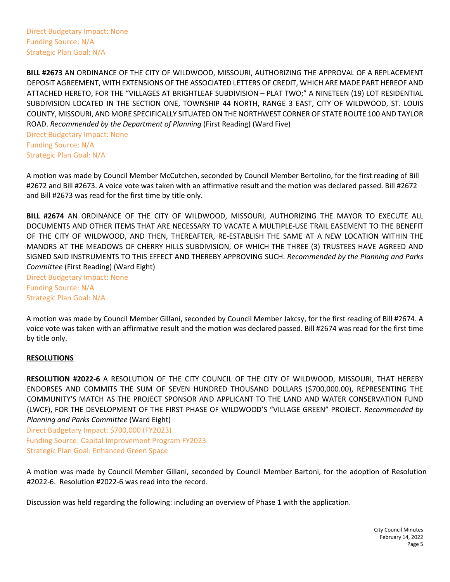Direct Budgetary Impact: None Funding Source: N/A Strategic Plan Goal: N/A

**BILL #2673** AN ORDINANCE OF THE CITY OF WILDWOOD, MISSOURI, AUTHORIZING THE APPROVAL OF A REPLACEMENT DEPOSIT AGREEMENT, WITH EXTENSIONS OF THE ASSOCIATED LETTERS OF CREDIT, WHICH ARE MADE PART HEREOF AND ATTACHED HERETO, FOR THE "VILLAGES AT BRIGHTLEAF SUBDIVISION – PLAT TWO;" A NINETEEN (19) LOT RESIDENTIAL SUBDIVISION LOCATED IN THE SECTION ONE, TOWNSHIP 44 NORTH, RANGE 3 EAST, CITY OF WILDWOOD, ST. LOUIS COUNTY, MISSOURI, AND MORE SPECIFICALLY SITUATED ON THE NORTHWEST CORNER OF STATE ROUTE 100 AND TAYLOR ROAD. *Recommended by the Department of Planning* (First Reading) (Ward Five)

Direct Budgetary Impact: None Funding Source: N/A Strategic Plan Goal: N/A

A motion was made by Council Member McCutchen, seconded by Council Member Bertolino, for the first reading of Bill #2672 and Bill #2673. A voice vote was taken with an affirmative result and the motion was declared passed. Bill #2672 and Bill #2673 was read for the first time by title only.

**BILL #2674** AN ORDINANCE OF THE CITY OF WILDWOOD, MISSOURI, AUTHORIZING THE MAYOR TO EXECUTE ALL DOCUMENTS AND OTHER ITEMS THAT ARE NECESSARY TO VACATE A MULTIPLE-USE TRAIL EASEMENT TO THE BENEFIT OF THE CITY OF WILDWOOD, AND THEN, THEREAFTER, RE-ESTABLISH THE SAME AT A NEW LOCATION WITHIN THE MANORS AT THE MEADOWS OF CHERRY HILLS SUBDIVISION, OF WHICH THE THREE (3) TRUSTEES HAVE AGREED AND SIGNED SAID INSTRUMENTS TO THIS EFFECT AND THEREBY APPROVING SUCH. *Recommended by the Planning and Parks Committee* (First Reading) (Ward Eight)

Direct Budgetary Impact: None Funding Source: N/A Strategic Plan Goal: N/A

A motion was made by Council Member Gillani, seconded by Council Member Jakcsy, for the first reading of Bill #2674. A voice vote was taken with an affirmative result and the motion was declared passed. Bill #2674 was read for the first time by title only.

## **RESOLUTIONS**

**RESOLUTION #2022-6** A RESOLUTION OF THE CITY COUNCIL OF THE CITY OF WILDWOOD, MISSOURI, THAT HEREBY ENDORSES AND COMMITS THE SUM OF SEVEN HUNDRED THOUSAND DOLLARS (\$700,000.00), REPRESENTING THE COMMUNITY'S MATCH AS THE PROJECT SPONSOR AND APPLICANT TO THE LAND AND WATER CONSERVATION FUND (LWCF), FOR THE DEVELOPMENT OF THE FIRST PHASE OF WILDWOOD'S "VILLAGE GREEN" PROJECT. *Recommended by Planning and Parks Committee* (Ward Eight)

Direct Budgetary Impact: \$700,000 (FY2023) Funding Source: Capital Improvement Program FY2023 Strategic Plan Goal: Enhanced Green Space

A motion was made by Council Member Gillani, seconded by Council Member Bartoni, for the adoption of Resolution #2022-6. Resolution #2022-6 was read into the record.

Discussion was held regarding the following: including an overview of Phase 1 with the application.